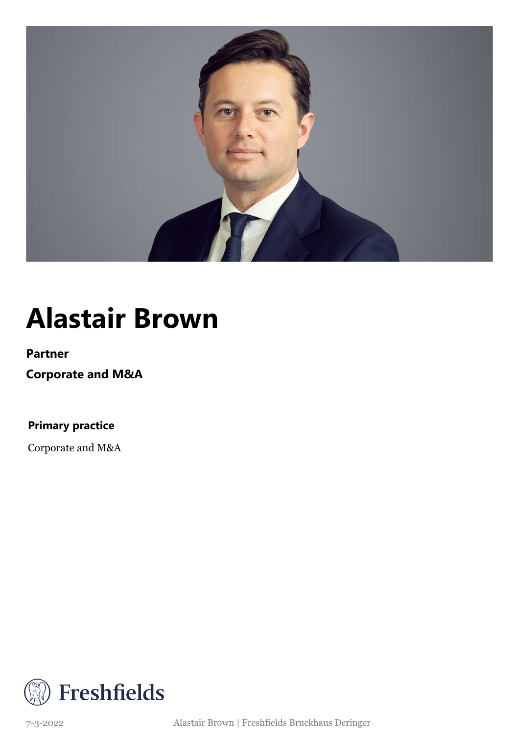

## **Alastair Brown**

### **Partner**

**Corporate and M&A**

**Primary practice**

Corporate and M&A



7-3-2022 Alastair Brown | Freshfields Bruckhaus Deringer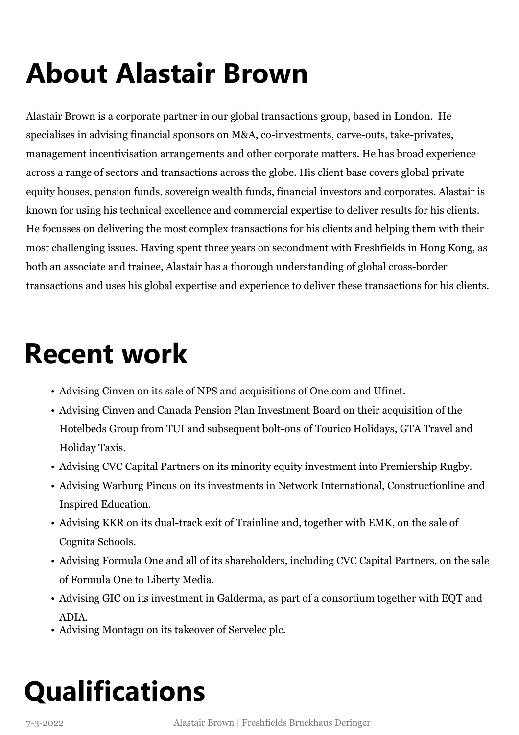# **About Alastair Brown**

Alastair Brown is a corporate partner in our global transactions group, based in London. He specialises in advising financial sponsors on M&A, co-investments, carve-outs, take-privates, management incentivisation arrangements and other corporate matters. He has broad experience across a range of sectors and transactions across the globe. His client base covers global private equity houses, pension funds, sovereign wealth funds, financial investors and corporates. Alastair is known for using his technical excellence and commercial expertise to deliver results for his clients. He focusses on delivering the most complex transactions for his clients and helping them with their most challenging issues. Having spent three years on secondment with Freshfields in Hong Kong, as both an associate and trainee, Alastair has a thorough understanding of global cross-border transactions and uses his global expertise and experience to deliver these transactions for his clients.

### **Recent work**

- Advising Cinven on its sale of NPS and acquisitions of One.com and Ufinet.
- Advising Cinven and Canada Pension Plan Investment Board on their acquisition of the Hotelbeds Group from TUI and subsequent bolt-ons of Tourico Holidays, GTA Travel and Holiday Taxis.
- Advising CVC Capital Partners on its minority equity investment into Premiership Rugby.
- Advising Warburg Pincus on its investments in Network International, Constructionline and Inspired Education.
- Advising KKR on its dual-track exit of Trainline and, together with EMK, on the sale of Cognita Schools.
- Advising Formula One and all of its shareholders, including CVC Capital Partners, on the sale of Formula One to Liberty Media.
- Advising GIC on its investment in Galderma, as part of a consortium together with EQT and ADIA.
- Advising Montagu on its takeover of Servelec plc.

## **Qualifications**